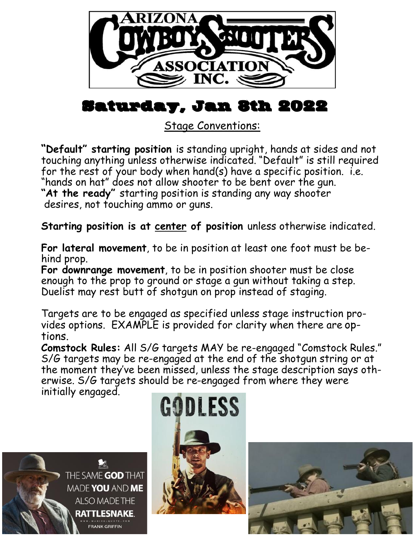

# Saturday, Jan 8th 2022

Stage Conventions:

**"Default" starting position** is standing upright, hands at sides and not touching anything unless otherwise indicated. "Default" is still required for the rest of your body when hand(s) have a specific position. i.e. "hands on hat" does not allow shooter to be bent over the gun. **"At the ready"** starting position is standing any way shooter desires, not touching ammo or guns.

**Starting position is at center of position** unless otherwise indicated.

**For lateral movement**, to be in position at least one foot must be behind prop.

**For downrange movement**, to be in position shooter must be close enough to the prop to ground or stage a gun without taking a step. Duelist may rest butt of shotgun on prop instead of staging.

Targets are to be engaged as specified unless stage instruction provides options. EXAMPLE is provided for clarity when there are options.

**Comstock Rules:** All S/G targets MAY be re-engaged "Comstock Rules." S/G targets may be re-engaged at the end of the shotgun string or at the moment they've been missed, unless the stage description says otherwise. S/G targets should be re-engaged from where they were initially engaged.





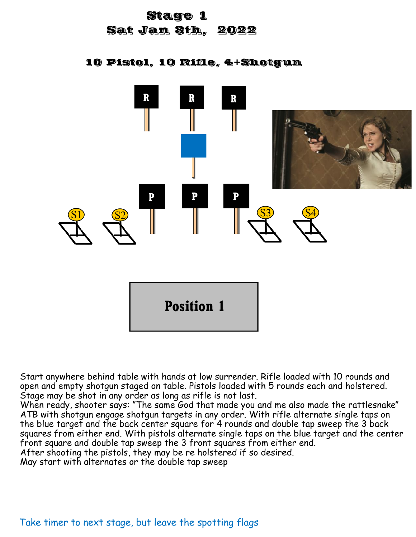# Stage 1 Sat Jan 8th, 2022

10 Pistol, 10 Rifle, 4+Shotgun



Start anywhere behind table with hands at low surrender. Rifle loaded with 10 rounds and open and empty shotgun staged on table. Pistols loaded with 5 rounds each and holstered. Stage may be shot in any order as long as rifle is not last.

When ready, shooter says: "The same God that made you and me also made the rattlesnake" ATB with shotgun engage shotgun targets in any order. With rifle alternate single taps on the blue target and the back center square for 4 rounds and double tap sweep the 3 back squares from either end. With pistols alternate single taps on the blue target and the center front square and double tap sweep the 3 front squares from either end.

After shooting the pistols, they may be re holstered if so desired.

May start with alternates or the double tap sweep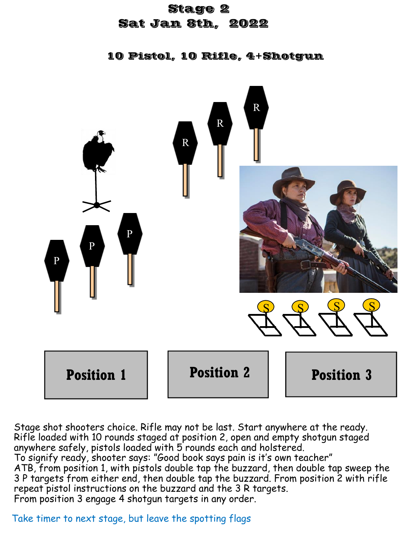# Stage 2 Sat Jan 8th, 2022

10 Pistol, 10 Rifle, 4+Shotgun



Stage shot shooters choice. Rifle may not be last. Start anywhere at the ready. Rifle loaded with 10 rounds staged at position 2, open and empty shotgun staged anywhere safely, pistols loaded with 5 rounds each and holstered. To signify ready, shooter says: "Good book says pain is it's own teacher" ATB, from position 1, with pistols double tap the buzzard, then double tap sweep the 3 P targets from either end, then double tap the buzzard. From position 2 with rifle repeat pistol instructions on the buzzard and the 3 R targets. From position 3 engage 4 shotgun targets in any order.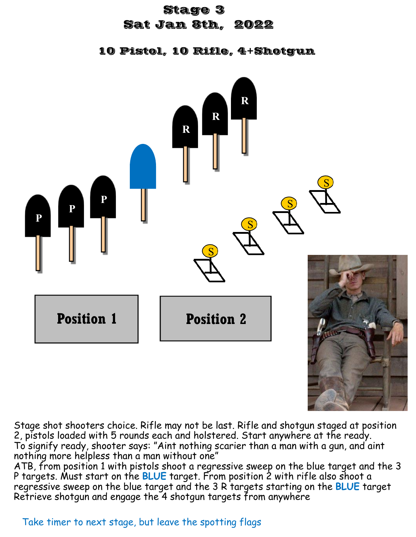#### Stage 3

#### Sat Jan 8th, 2022

10 Pistol, 10 Rifle, 4+Shotgun



Stage shot shooters choice. Rifle may not be last. Rifle and shotgun staged at position 2, pistols loaded with 5 rounds each and holstered. Start anywhere at the ready. To signify ready, shooter says: "Aint nothing scarier than a man with a gun, and aint nothing more helpless than a man without one"

ATB, from position 1 with pistols shoot a regressive sweep on the blue target and the 3 P targets. Must start on the **BLUE** target. From position 2 with rifle also shoot a regressive sweep on the blue target and the 3 R targets starting on the **BLUE** target Retrieve shotgun and engage the 4 shotgun targets from anywhere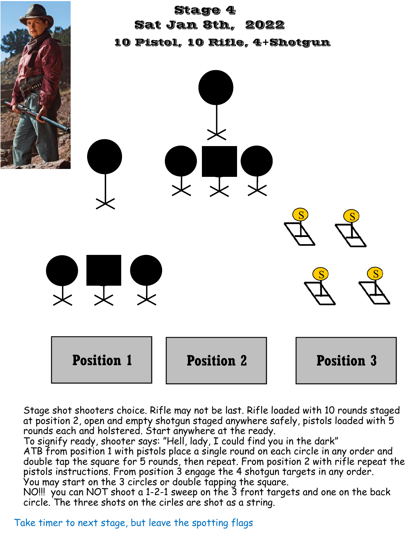

Stage shot shooters choice. Rifle may not be last. Rifle loaded with 10 rounds staged at position 2, open and empty shotgun staged anywhere safely, pistols loaded with 5 rounds each and holstered. Start anywhere at the ready.

To signify ready, shooter says: "Hell, lady, I could find you in the dark" ATB from position 1 with pistols place a single round on each circle in any order and double tap the square for 5 rounds, then repeat. From position 2 with rifle repeat the pistols instructions. From position 3 engage the 4 shotgun targets in any order. You may start on the 3 circles or double tapping the square.

NO!!! you can NOT shoot a 1-2-1 sweep on the 3 front targets and one on the back circle. The three shots on the cirles are shot as a string.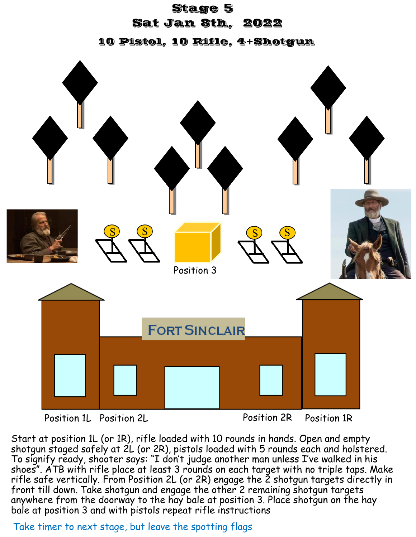#### Stage 5

### Sat Jan 8th, 2022

10 Pistol, 10 Rifle, 4+Shotgun



## Position 1L Position 1R Position 2L Position 2R

Start at position 1L (or 1R), rifle loaded with 10 rounds in hands. Open and empty shotgun staged safely at 2L (or 2R), pistols loaded with 5 rounds each and holstered. To signify ready, shooter says: "I don't judge another man unless I've walked in his shoes". ATB with rifle place at least 3 rounds on each target with no triple taps. Make rifle safe vertically. From Position 2L (or 2R) engage the 2 shotgun targets directly in front till down. Take shotgun and engage the other 2 remaining shotgun targets anywhere from the doorway to the hay bale at position 3. Place shotgun on the hay bale at position 3 and with pistols repeat rifle instructions